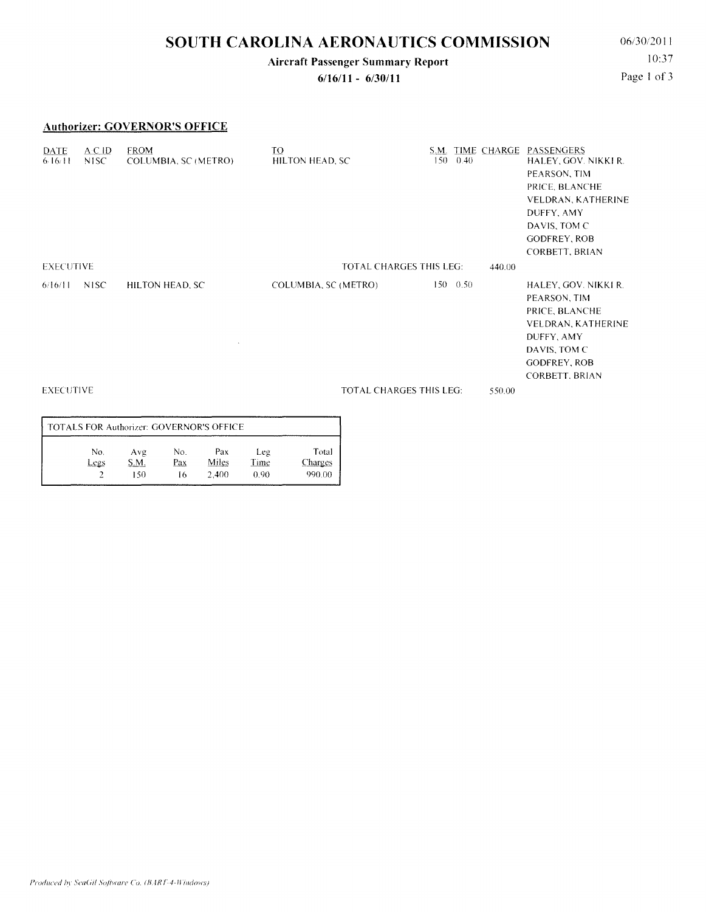# **SOUTH CAROLINA AERONAUTICS COMMISSION** 06/30/2011

### **Aircraft Passenger Summary Report**

**6/16/11 - 6/30/11** 

10:37 Page 1 of 3

### **Authorizer: GOVERNOR'S OFFICE**

| DATE<br>6.16/11  | $A \subset ID$<br>NISC. | <b>FROM</b><br>COLUMBIA, SC (METRO) | TO<br>HILTON HEAD, SC          | 150 | 0.40         | S.M. TIME CHARGE | PASSENGERS<br>HALEY, GOV. NIKKI R.<br>PEARSON, TIM<br>PRICE, BLANCHE<br>VELDRAN, KATHERINE<br>DUFFY, AMY<br>DAVIS, TOM C<br><b>GODFREY, ROB</b><br>CORBETT, BRIAN |
|------------------|-------------------------|-------------------------------------|--------------------------------|-----|--------------|------------------|-------------------------------------------------------------------------------------------------------------------------------------------------------------------|
| <b>EXECUTIVE</b> |                         |                                     | <b>TOTAL CHARGES THIS LEG:</b> |     |              |                  |                                                                                                                                                                   |
| 6/16/11          | NISC.                   | HILTON HEAD, SC                     | COLUMBIA, SC (METRO)           |     | $150 - 0.50$ |                  | HALEY, GOV. NIKKI R.<br>PEARSON, TIM<br>PRICE, BLANCHE<br>VELDRAN, KATHERINE<br>DUFFY, AMY<br>DAVIS, TOM C<br><b>GODFREY, ROB</b><br>CORBETT, BRIAN               |
| <b>EXECUTIVE</b> |                         |                                     | <b>TOTAL CHARGES THIS LEG:</b> |     |              | 550.00           |                                                                                                                                                                   |

#### TOTALS FOR Authorizer: GOVERNOR'S OFFICE No. **Legs** 2 Avg S.M. 150 No. Pax 16 Pax Miles 2,400 Leg Time 0.90 Total Charges 990.00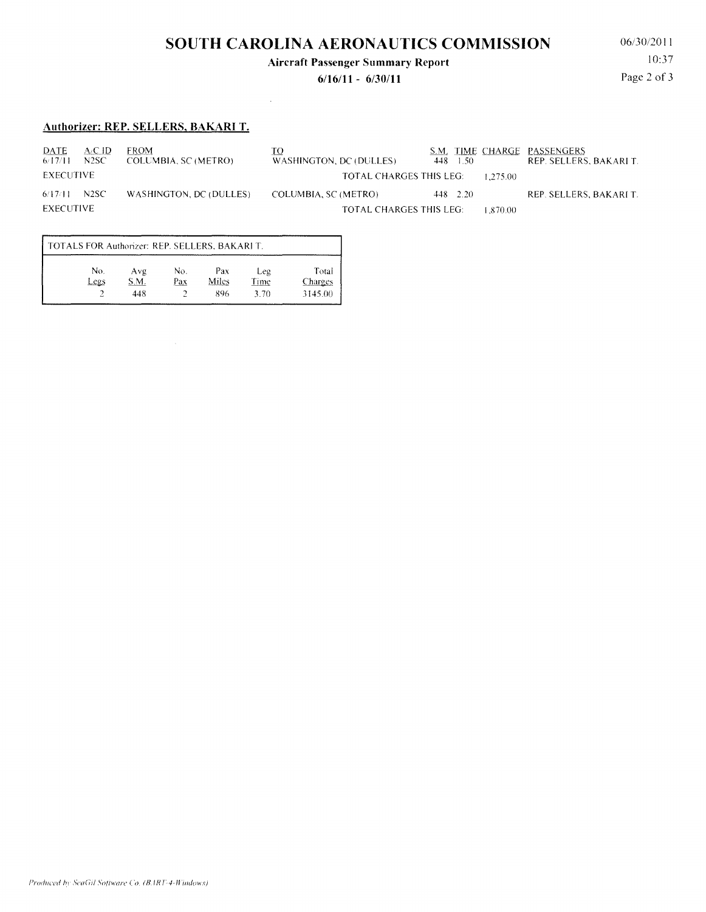# **SOUTH CAROLINA AERONAUTICS COMMISSION** 06/30/2011

#### **Aircraft Passenger Summary Report**

**6/16/11 - 6/30/11** 

10:37 Page 2 of 3

### **Authorizer: REP. SELLERS, BAKARI T.**

 $\frac{DATE}{6/17/11}$   $\frac{A/CID}{N2SC}$  FROM COLUMBIA, SC (METRO) EXECUTIVE 6/1711 N2SC WASHINGTON. DC (DULLES) EXECUTIVE <u>TO S.M. TIME CHARGE PASSENGERS</u><br>WASHINGTON, DC (DULLES) 448 1.50 REP. SELLERS, BAKARI T. TOTAL CHARGES THIS LEG: 1,275.00 COLUMBIA. SC (METRO) 448 2.20 REP. SELLERS, BAKARI T. TOTAL CHARGES THIS LEG: 1,870.00

 $\bar{z}$ 

| TOTALS FOR Authorizer: REP. SELLERS, BAKARI T. |             |             |            |              |             |                  |  |  |  |
|------------------------------------------------|-------------|-------------|------------|--------------|-------------|------------------|--|--|--|
|                                                | No.<br>Legs | Avg<br>S.M. | No.<br>Pax | Pax<br>Miles | Leg<br>Time | Total<br>Charges |  |  |  |
|                                                |             | 448         |            | 896          | 3.70        | 3145.00          |  |  |  |

 $\bar{A}$